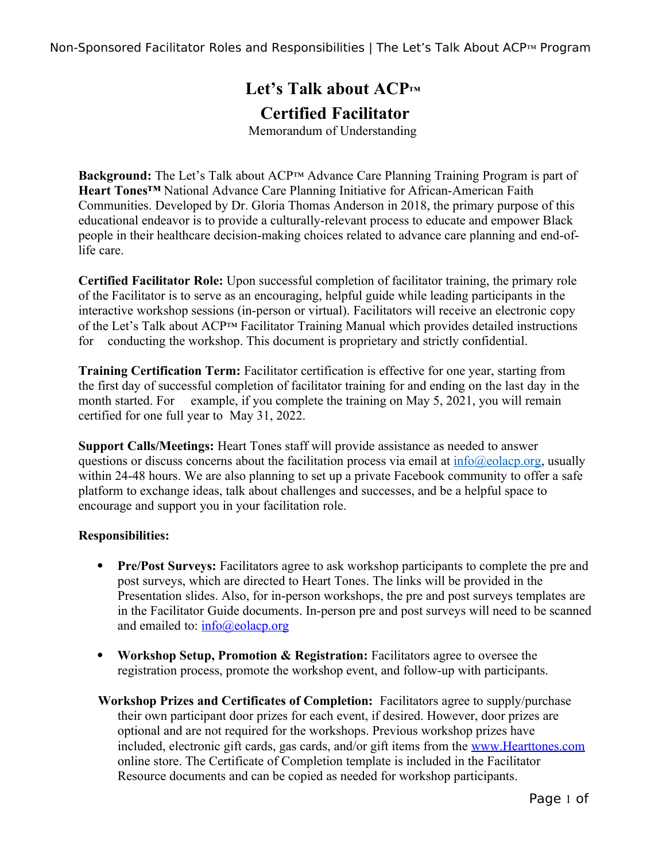Non-Sponsored Facilitator Roles and Responsibilities | The Let's Talk About ACP™ Program

## **Let's Talk about ACP™ Certified Facilitator**

Memorandum of Understanding

**Background:** The Let's Talk about ACP™ Advance Care Planning Training Program is part of **Heart Tones™** National Advance Care Planning Initiative for African-American Faith Communities. Developed by Dr. Gloria Thomas Anderson in 2018, the primary purpose of this educational endeavor is to provide a culturally-relevant process to educate and empower Black people in their healthcare decision-making choices related to advance care planning and end-oflife care.

**Certified Facilitator Role:** Upon successful completion of facilitator training, the primary role of the Facilitator is to serve as an encouraging, helpful guide while leading participants in the interactive workshop sessions (in-person or virtual). Facilitators will receive an electronic copy of the Let's Talk about ACP™ Facilitator Training Manual which provides detailed instructions for conducting the workshop. This document is proprietary and strictly confidential.

**Training Certification Term:** Facilitator certification is effective for one year, starting from the first day of successful completion of facilitator training for and ending on the last day in the month started. For example, if you complete the training on May 5, 2021, you will remain certified for one full year to May 31, 2022.

**Support Calls/Meetings:** Heart Tones staff will provide assistance as needed to answer questions or discuss concerns about the facilitation process via email at  $\frac{info(\partial \rho_{\text{eolacp.}org,} \mu_{\text{fba}})}{info(\partial \rho_{\text{fba}})}$ within 24-48 hours. We are also planning to set up a private Facebook community to offer a safe platform to exchange ideas, talk about challenges and successes, and be a helpful space to encourage and support you in your facilitation role.

## **Responsibilities:**

- **Pre/Post Surveys:** Facilitators agree to ask workshop participants to complete the pre and post surveys, which are directed to Heart Tones. The links will be provided in the Presentation slides. Also, for in-person workshops, the pre and post surveys templates are in the Facilitator Guide documents. In-person pre and post surveys will need to be scanned and emailed to: [info@eolacp.org](mailto:info@eolacp.org)
- **Workshop Setup, Promotion & Registration:** Facilitators agree to oversee the registration process, promote the workshop event, and follow-up with participants.
- **Workshop Prizes and Certificates of Completion:** Facilitators agree to supply/purchase their own participant door prizes for each event, if desired. However, door prizes are optional and are not required for the workshops. Previous workshop prizes have included, electronic gift cards, gas cards, and/or gift items from the www.Hearttones.com online store. The Certificate of Completion template is included in the Facilitator Resource documents and can be copied as needed for workshop participants.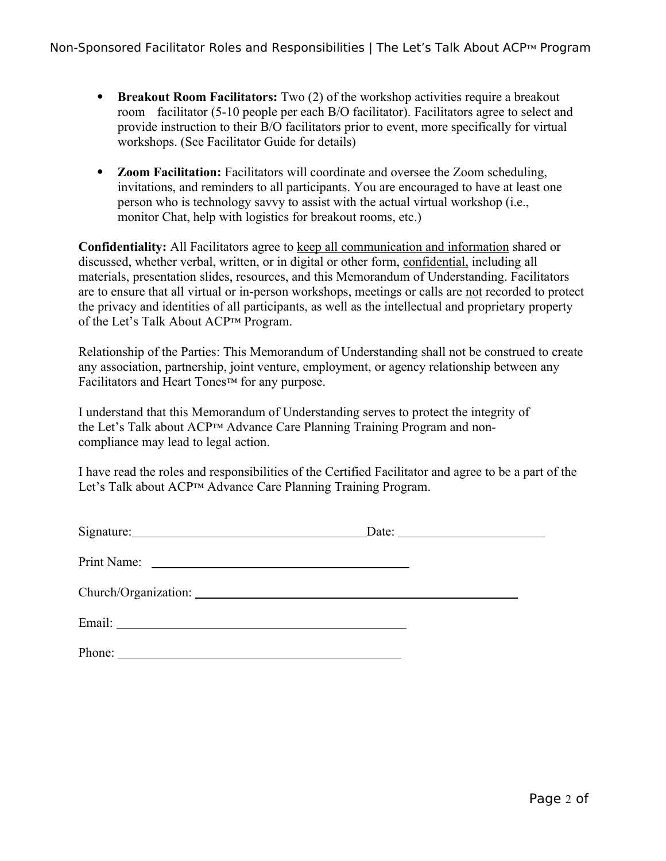- **Breakout Room Facilitators:** Two (2) of the workshop activities require a breakout room facilitator (5-10 people per each B/O facilitator). Facilitators agree to select and provide instruction to their B/O facilitators prior to event, more specifically for virtual workshops. (See Facilitator Guide for details)
- **Zoom Facilitation:** Facilitators will coordinate and oversee the Zoom scheduling, invitations, and reminders to all participants. You are encouraged to have at least one person who is technology savvy to assist with the actual virtual workshop (i.e., monitor Chat, help with logistics for breakout rooms, etc.)

**Confidentiality:** All Facilitators agree to keep all communication and information shared or discussed, whether verbal, written, or in digital or other form, confidential, including all materials, presentation slides, resources, and this Memorandum of Understanding. Facilitators are to ensure that all virtual or in-person workshops, meetings or calls are not recorded to protect the privacy and identities of all participants, as well as the intellectual and proprietary property of the Let's Talk About ACP™ Program.

Relationship of the Parties: This Memorandum of Understanding shall not be construed to create any association, partnership, joint venture, employment, or agency relationship between any Facilitators and Heart Tones™ for any purpose.

I understand that this Memorandum of Understanding serves to protect the integrity of the Let's Talk about ACP™ Advance Care Planning Training Program and noncompliance may lead to legal action.

I have read the roles and responsibilities of the Certified Facilitator and agree to be a part of the Let's Talk about ACP™ Advance Care Planning Training Program.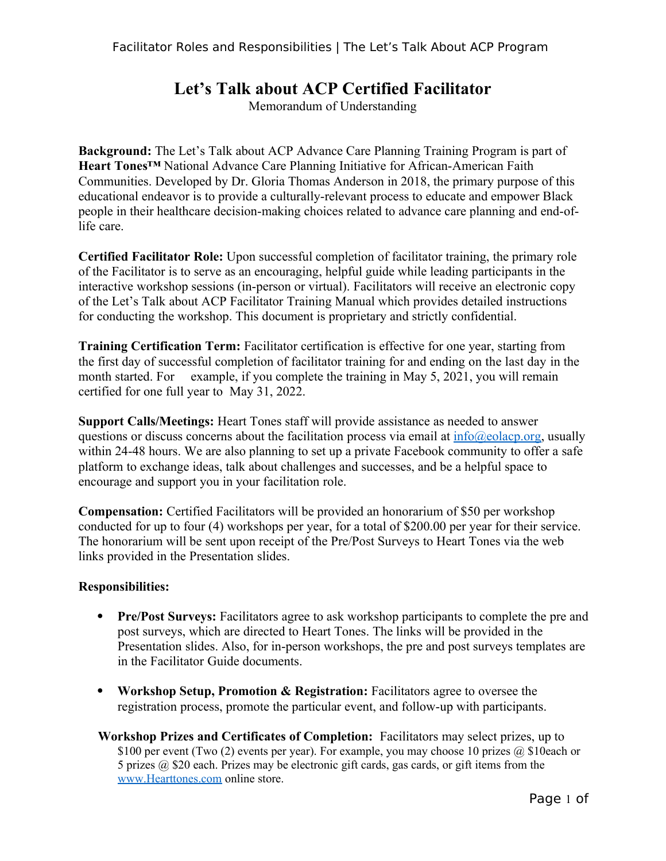## **Let's Talk about ACP Certified Facilitator**

Memorandum of Understanding

**Background:** The Let's Talk about ACP Advance Care Planning Training Program is part of **Heart Tones™** National Advance Care Planning Initiative for African-American Faith Communities. Developed by Dr. Gloria Thomas Anderson in 2018, the primary purpose of this educational endeavor is to provide a culturally-relevant process to educate and empower Black people in their healthcare decision-making choices related to advance care planning and end-oflife care.

**Certified Facilitator Role:** Upon successful completion of facilitator training, the primary role of the Facilitator is to serve as an encouraging, helpful guide while leading participants in the interactive workshop sessions (in-person or virtual). Facilitators will receive an electronic copy of the Let's Talk about ACP Facilitator Training Manual which provides detailed instructions for conducting the workshop. This document is proprietary and strictly confidential.

**Training Certification Term:** Facilitator certification is effective for one year, starting from the first day of successful completion of facilitator training for and ending on the last day in the month started. For example, if you complete the training in May 5, 2021, you will remain certified for one full year to May 31, 2022.

**Support Calls/Meetings:** Heart Tones staff will provide assistance as needed to answer questions or discuss concerns about the facilitation process via email at  $\frac{info(\partial_{\theta}e_{o})}{\text{eolacp.}org}$ , usually within 24-48 hours. We are also planning to set up a private Facebook community to offer a safe platform to exchange ideas, talk about challenges and successes, and be a helpful space to encourage and support you in your facilitation role.

**Compensation:** Certified Facilitators will be provided an honorarium of \$50 per workshop conducted for up to four (4) workshops per year, for a total of \$200.00 per year for their service. The honorarium will be sent upon receipt of the Pre/Post Surveys to Heart Tones via the web links provided in the Presentation slides.

## **Responsibilities:**

- **Pre/Post Surveys:** Facilitators agree to ask workshop participants to complete the pre and post surveys, which are directed to Heart Tones. The links will be provided in the Presentation slides. Also, for in-person workshops, the pre and post surveys templates are in the Facilitator Guide documents.
- **Workshop Setup, Promotion & Registration:** Facilitators agree to oversee the registration process, promote the particular event, and follow-up with participants.
- **Workshop Prizes and Certificates of Completion:** Facilitators may select prizes, up to \$100 per event (Two (2) events per year). For example, you may choose 10 prizes  $\omega$  \$10each or 5 prizes @ \$20 each. Prizes may be electronic gift cards, gas cards, or gift items from the www.Hearttones.com online store.